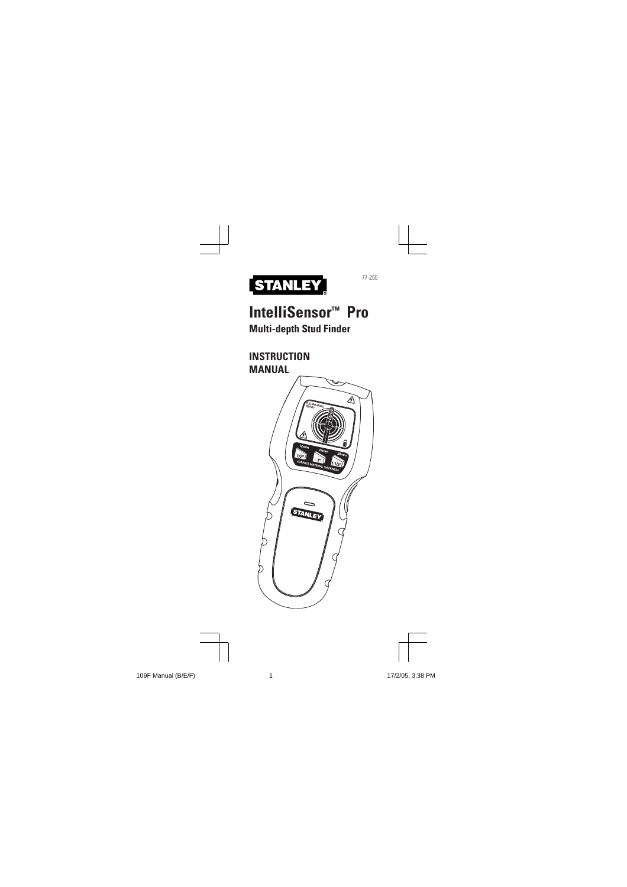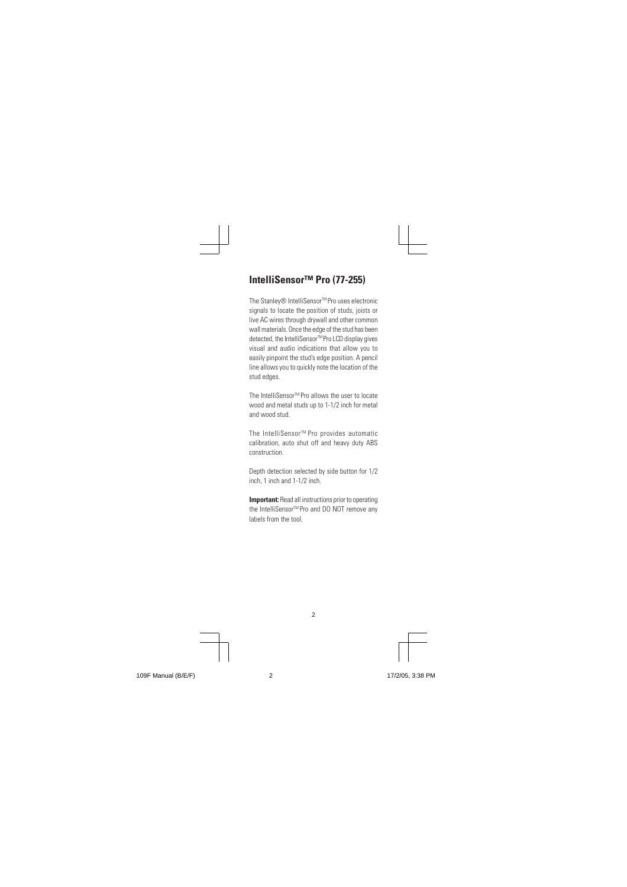# **IntelliSensor™ Pro (77-255)**

The Stanley® IntelliSensor™Pro uses electronic signals to locate the position of studs, joists or live AC wires through drywall and other common wall materials. Once the edge of the stud has been detected, the IntelliSensor™Pro LCD display gives visual and audio indications that allow you to easily pinpoint the stud's edge position. A pencil line allows you to quickly note the location of the stud edges.

The IntelliSensor<sup>™</sup> Pro allows the user to locate wood and metal studs up to 1-1/2 inch for metal and wood stud.

The IntelliSensor<sup>™</sup> Pro provides automatic calibration, auto shut off and heavy duty ABS construction.

Depth detection selected by side button for 1/2 inch, 1 inch and 1-1/2 inch.

**Important:** Read all instructions prior to operating the IntelliSensor™ Pro and DO NOT remove any labels from the tool.

2

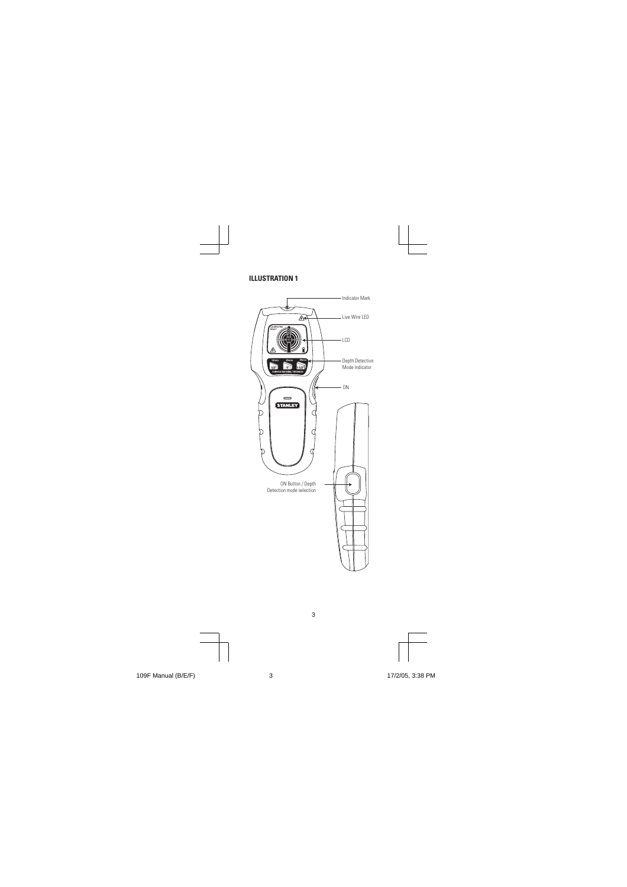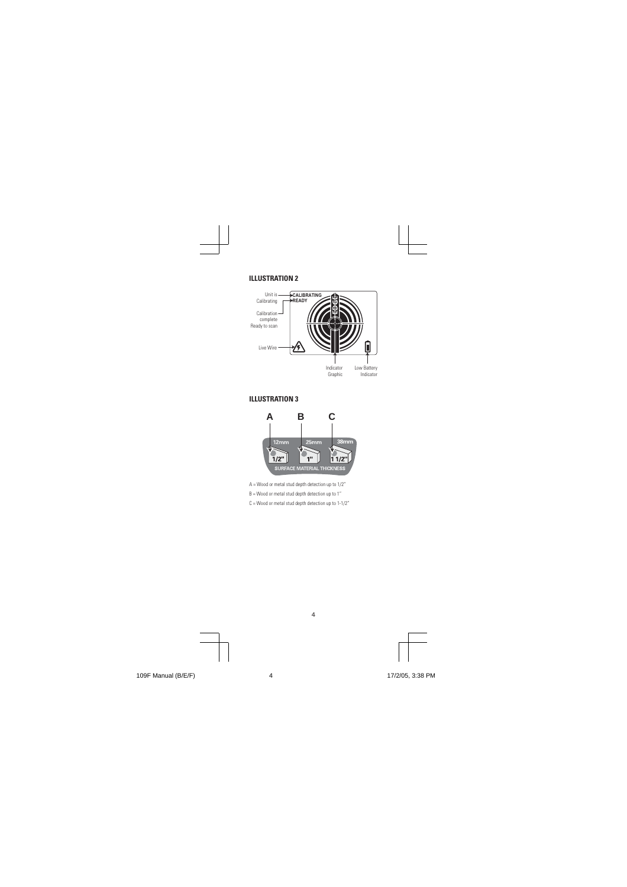

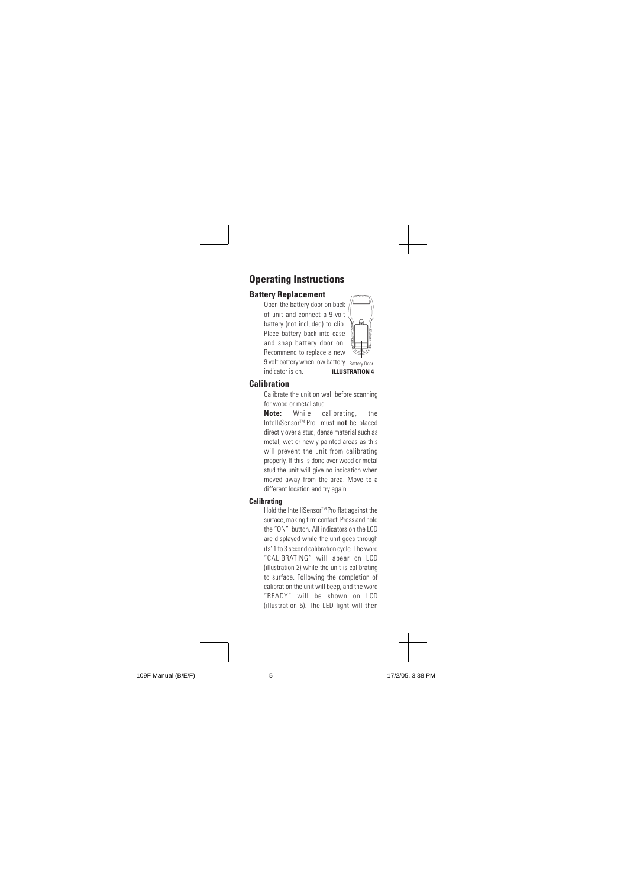# **Operating Instructions**

# **Battery Replacement**

Open the battery door on back of unit and connect a 9-volt battery (not included) to clip. Place battery back into case and snap battery door on. Recommend to replace a new 9 volt battery when low battery Battery Door indicator is on. **ILLUSTRATION 4**



#### **Calibration**

Calibrate the unit on wall before scanning for wood or metal stud.

**Note:** While calibrating, the IntelliSensorTM Pro must **not** be placed directly over a stud, dense material such as metal, wet or newly painted areas as this will prevent the unit from calibrating properly. If this is done over wood or metal stud the unit will give no indication when moved away from the area. Move to a different location and try again.

# **Calibrating**

Hold the IntelliSensor™ Pro flat against the surface, making firm contact. Press and hold the "ON" button. All indicators on the LCD are displayed while the unit goes through its' 1 to 3 second calibration cycle. The word "CALIBRATING" will apear on LCD (illustration 2) while the unit is calibrating to surface. Following the completion of calibration the unit will beep, and the word "READY" will be shown on LCD (illustration 5). The LED light will then

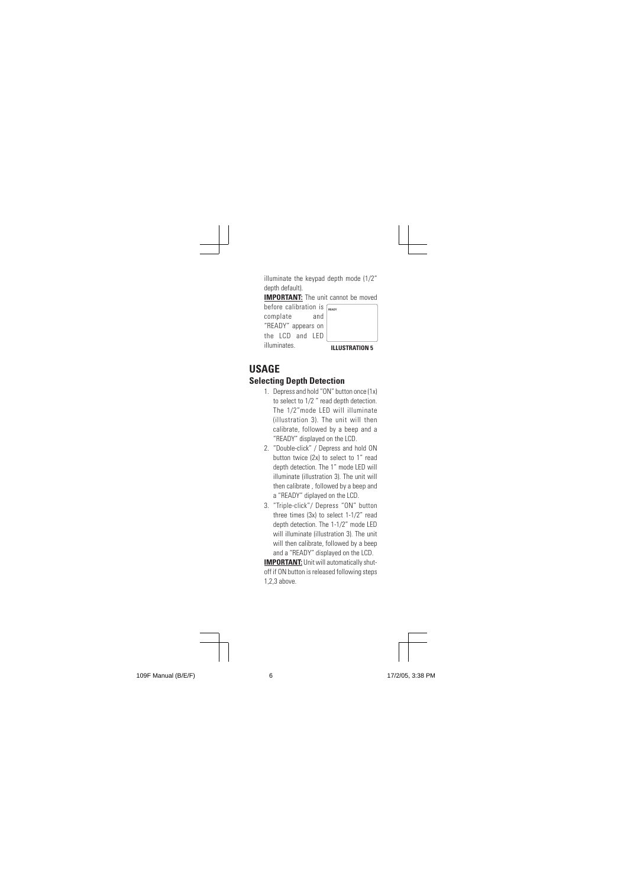| illuminate the keypad depth mode (1/2"<br>depth default).<br><b>IMPORTANT:</b> The unit cannot be moved<br>before calibration is $\sqrt{\frac{F_{\text{FANY}}}{F_{\text{FANY}}}}$<br>complate<br>and<br>"READY" appears on<br>the ICD and IFD<br>illuminates<br><b>ILLUSTRATION 5</b>                                                                                                                                                                                                                                                                                                                                                                                                                                                                              |
|--------------------------------------------------------------------------------------------------------------------------------------------------------------------------------------------------------------------------------------------------------------------------------------------------------------------------------------------------------------------------------------------------------------------------------------------------------------------------------------------------------------------------------------------------------------------------------------------------------------------------------------------------------------------------------------------------------------------------------------------------------------------|
| USAGE<br><b>Selecting Depth Detection</b><br>1. Depress and hold "ON" button once (1x)<br>to select to 1/2" read depth detection.<br>The 1/2"mode LED will illuminate<br>(illustration 3). The unit will then<br>calibrate, followed by a beep and a<br>"READY" displayed on the LCD.<br>2. "Double-click" / Depress and hold ON<br>button twice (2x) to select to 1" read<br>depth detection. The 1" mode LED will<br>illuminate (illustration 3). The unit will<br>then calibrate, followed by a beep and<br>a "READY" diplayed on the LCD.<br>3. "Triple-click"/ Depress "ON" button<br>three times (3x) to select 1-1/2" read<br>depth detection. The 1-1/2" mode LED<br>will illuminate (illustration 3). The unit<br>will then calibrate, followed by a beep |
| and a "READY" displayed on the LCD.<br><b>IMPORTANT:</b> Unit will automatically shut-<br>off if ON button is released following steps<br>1,2,3 above.                                                                                                                                                                                                                                                                                                                                                                                                                                                                                                                                                                                                             |

109F Manual (B/E/F) 109F Manual (B/E/F) 17/2/05, 3:38 PM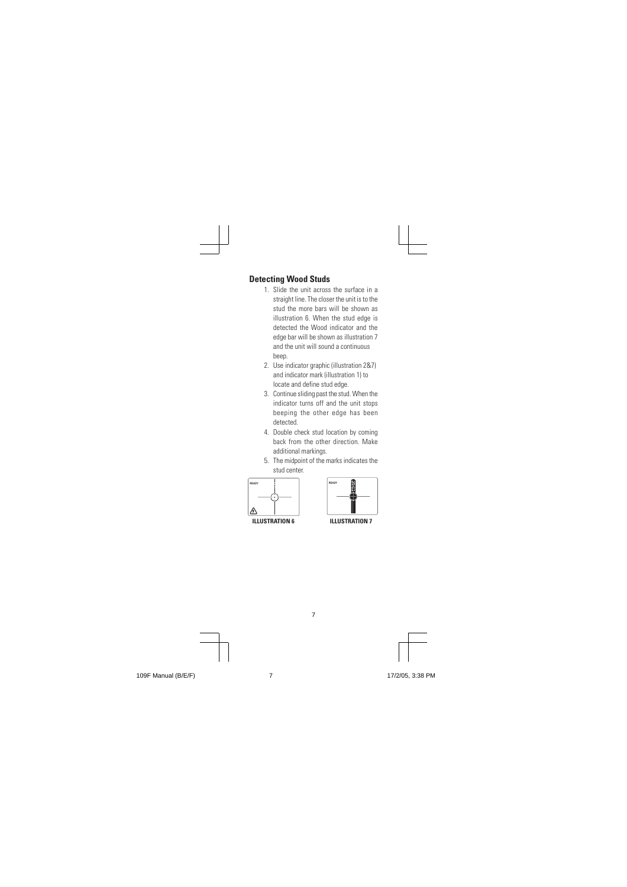# **Detecting Wood Studs**

- 1. Slide the unit across the surface in a straight line. The closer the unit is to the stud the more bars will be shown as illustration 6. When the stud edge is detected the Wood indicator and the edge bar will be shown as illustration 7 and the unit will sound a continuous beep.
- 2. Use indicator graphic (illustration 2&7) and indicator mark (illustration 1) to locate and define stud edge.
- 3. Continue sliding past the stud. When the indicator turns off and the unit stops beeping the other edge has been detected.
- 4. Double check stud location by coming back from the other direction. Make additional markings.
- 5. The midpoint of the marks indicates the stud center.



**ILLUSTRATION 6** ILLUSTRATION 7

7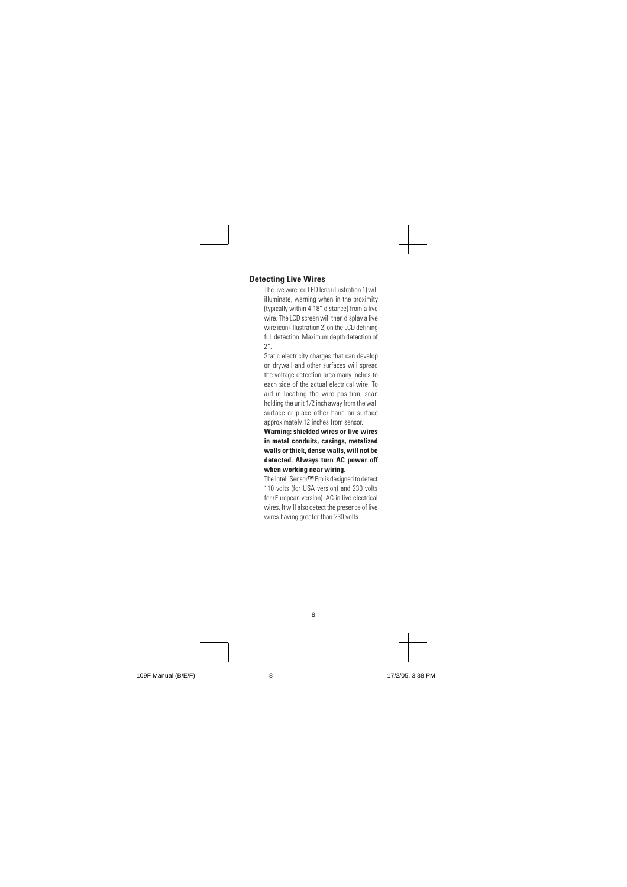# **Detecting Live Wires**

The live wire red LED lens (illustration 1) will illuminate, warning when in the proximity (typically within 4-18" distance) from a live wire. The LCD screen will then display a live wire icon (illustration 2) on the LCD defining full detection. Maximum depth detection of 2".

Static electricity charges that can develop on drywall and other surfaces will spread the voltage detection area many inches to each side of the actual electrical wire. To aid in locating the wire position, scan holding the unit 1/2 inch away from the wall surface or place other hand on surface approximately 12 inches from sensor.

#### **Warning: shielded wires or live wires in metal conduits, casings, metalized walls or thick, dense walls, will not be detected. Always turn AC power off when working near wiring.**

The IntelliSensor**™** Pro is designed to detect 110 volts (for USA version) and 230 volts for (European version) AC in live electrical wires. It will also detect the presence of live wires having greater than 230 volts.

8

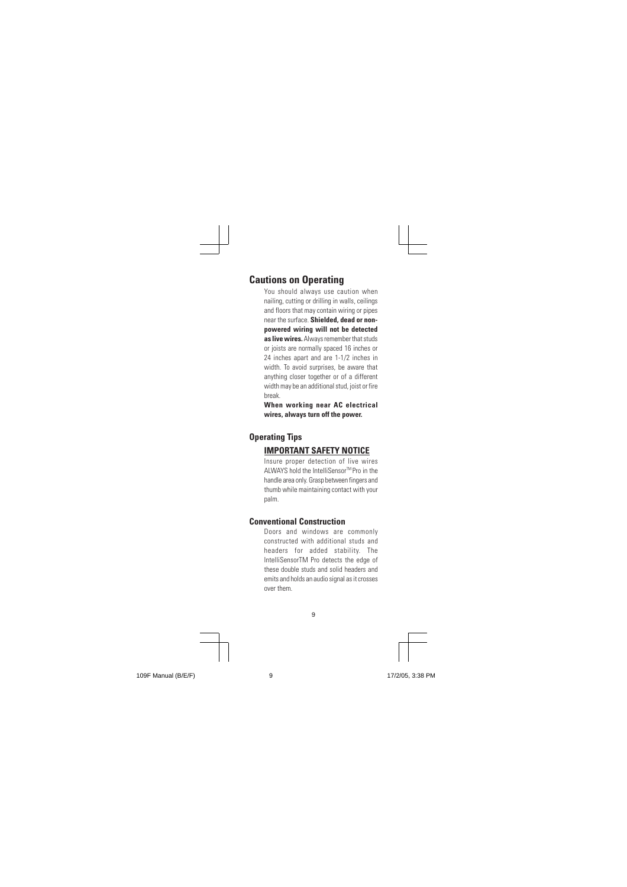#### **Cautions on Operating**

You should always use caution when nailing, cutting or drilling in walls, ceilings and floors that may contain wiring or pipes near the surface. **Shielded, dead or nonpowered wiring will not be detected as live wires.** Always remember that studs or joists are normally spaced 16 inches or 24 inches apart and are 1-1/2 inches in width. To avoid surprises, be aware that anything closer together or of a different width may be an additional stud, joist or fire break.

**When working near AC electrical wires, always turn off the power.**

#### **Operating Tips**

# **IMPORTANT SAFETY NOTICE**

Insure proper detection of live wires ALWAYS hold the IntelliSensor™ Pro in the handle area only. Grasp between fingers and thumb while maintaining contact with your palm.

#### **Conventional Construction**

Doors and windows are commonly constructed with additional studs and headers for added stability. The IntelliSensorTM Pro detects the edge of these double studs and solid headers and emits and holds an audio signal as it crosses over them.

9

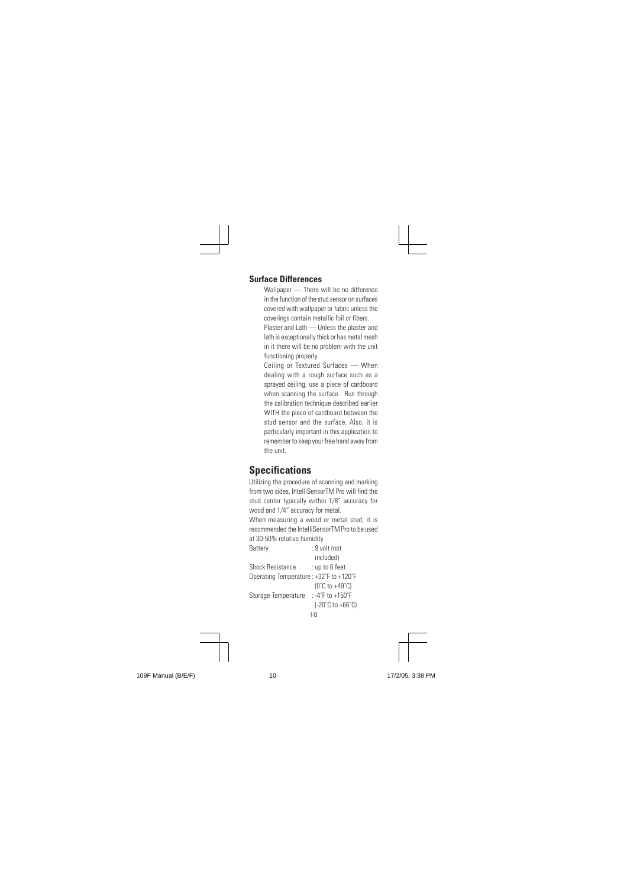#### **Surface Differences**

Wallpaper — There will be no difference in the function of the stud sensor on surfaces covered with wallpaper or fabric unless the coverings contain metallic foil or fibers. Plaster and Lath — Unless the plaster and lath is exceptionally thick or has metal mesh in it there will be no problem with the unit functioning properly.

Ceiling or Textured Surfaces — When dealing with a rough surface such as a sprayed ceiling, use a piece of cardboard when scanning the surface. Run through the calibration technique described earlier WITH the piece of cardboard between the stud sensor and the surface. Also, it is particularly important in this application to remember to keep your free hand away from the unit.

# **Specifications**

10 Utilizing the procedure of scanning and marking from two sides, IntelliSensorTM Pro will find the stud center typically within 1/8" accuracy for wood and 1/4" accuracy for metal. When measuring a wood or metal stud, it is recommended the IntelliSensorTM Pro to be used at 30-50% relative humidity.<br>Battery : 9 yo  $\ddot{B}$  9 volt (not included)<br>: up to 6 feet Shock Resistance Operating Temperature : +32˚F to +120˚F (0˚C to +49˚C) Storage Temperature : -4°F to +150°F (-20˚C to +66˚C)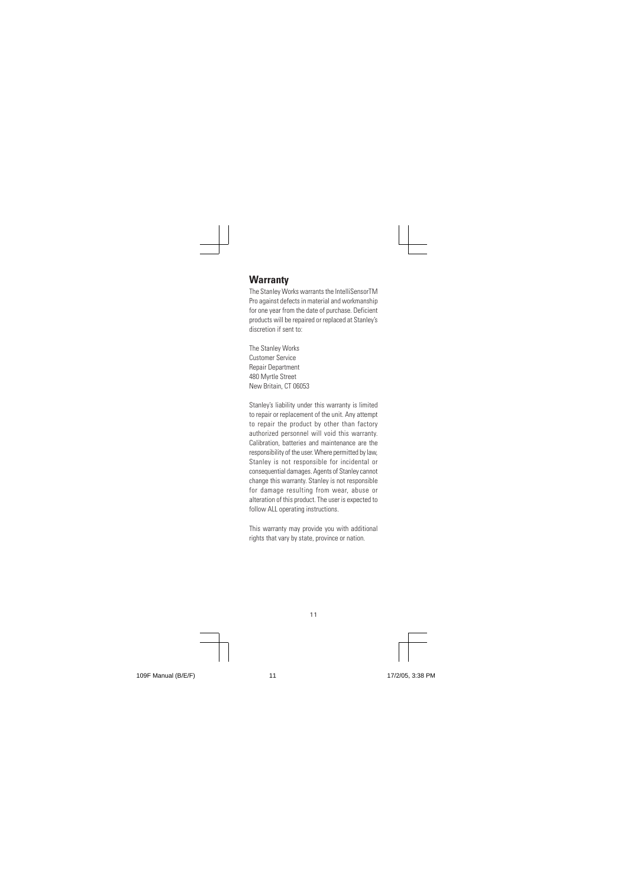# **Warranty**

The Stanley Works warrants the IntelliSensorTM Pro against defects in material and workmanship for one year from the date of purchase. Deficient products will be repaired or replaced at Stanley's discretion if sent to:

The Stanley Works Customer Service Repair Department 480 Myrtle Street New Britain, CT 06053

Stanley's liability under this warranty is limited to repair or replacement of the unit. Any attempt to repair the product by other than factory authorized personnel will void this warranty. Calibration, batteries and maintenance are the responsibility of the user. Where permitted by law, Stanley is not responsible for incidental or consequential damages. Agents of Stanley cannot change this warranty. Stanley is not responsible for damage resulting from wear, abuse or alteration of this product. The user is expected to follow ALL operating instructions.

This warranty may provide you with additional rights that vary by state, province or nation.

11

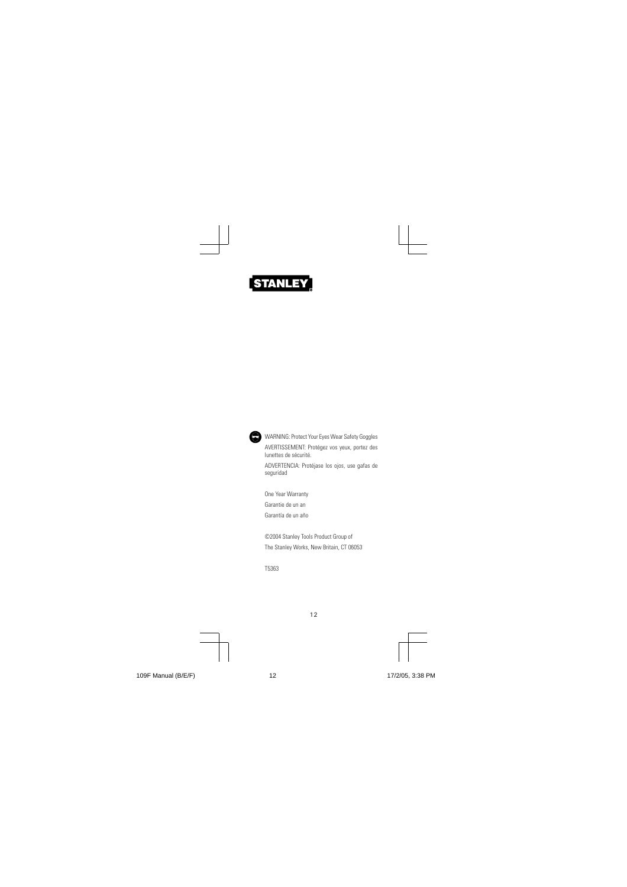



One Year Warranty Garantie de un an Garantía de un año

©2004 Stanley Tools Product Group of The Stanley Works, New Britain, CT 06053

T5363

12





109F Manual (B/E/F) 12 12 12 12 17/2/05, 3:38 PM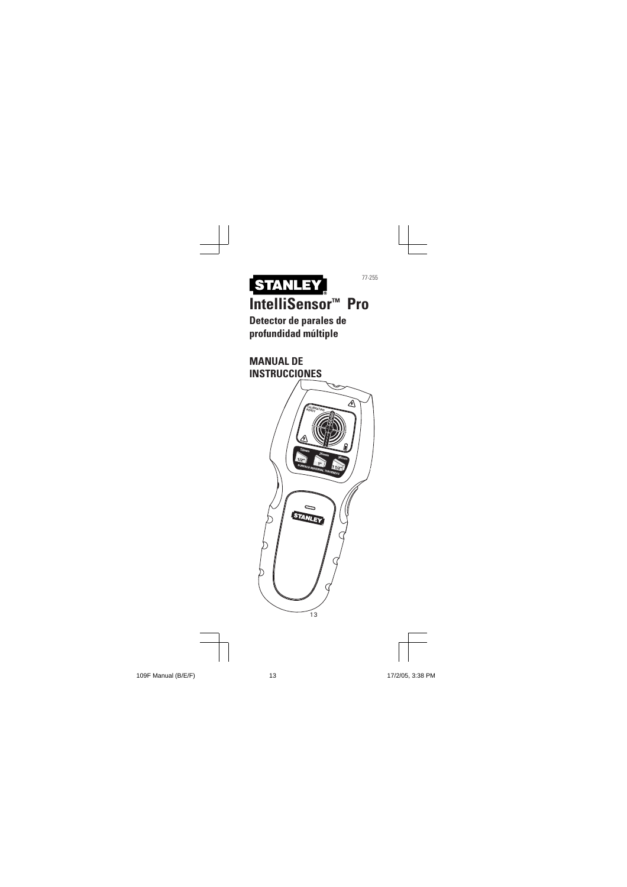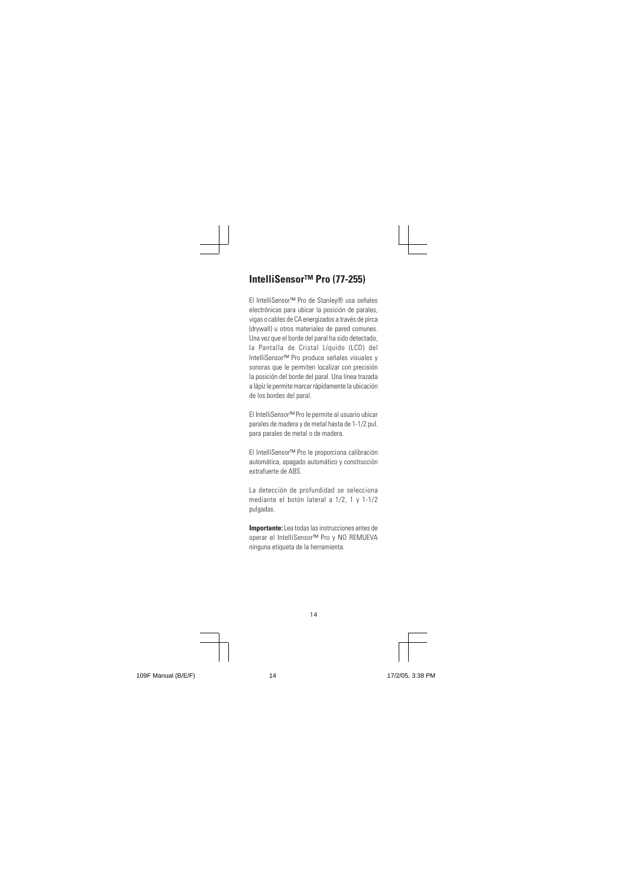# **IntelliSensor™ Pro (77-255)**

El IntelliSensor™ Pro de Stanley® usa señales electrónicas para ubicar la posición de parales, vigas o cables de CA energizados a través de pirca (drywall) u otros materiales de pared comunes. Una vez que el borde del paral ha sido detectado, la Pantalla de Cristal Líquido (LCD) del IntelliSensor™ Pro produce señales visuales y sonoras que le permiten localizar con precisión la posición del borde del paral. Una línea trazada a lápiz le permite marcar rápidamente la ubicación de los bordes del paral.

El IntelliSensor™ Pro le permite al usuario ubicar parales de madera y de metal hasta de 1-1/2 pul. para parales de metal o de madera.

El IntelliSensor™ Pro le proporciona calibración automática, apagado automático y construcción extrafuerte de ABS.

La detección de profundidad se selecciona mediante el botón lateral a 1/2, 1 y 1-1/2 pulgadas.

**Importante:** Lea todas las instrucciones antes de operar el IntelliSensor™ Pro y NO REMUEVA ninguna etiqueta de la herramienta.

14

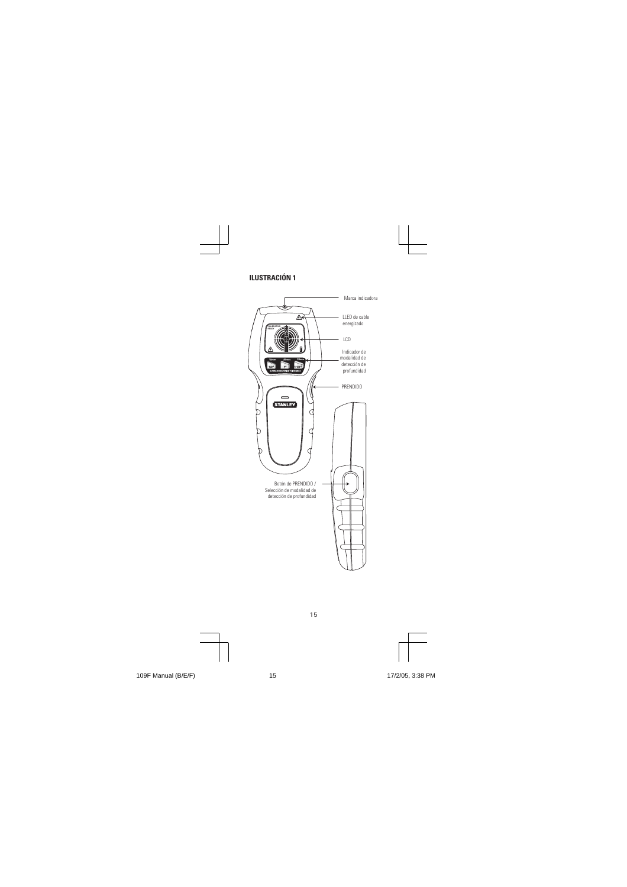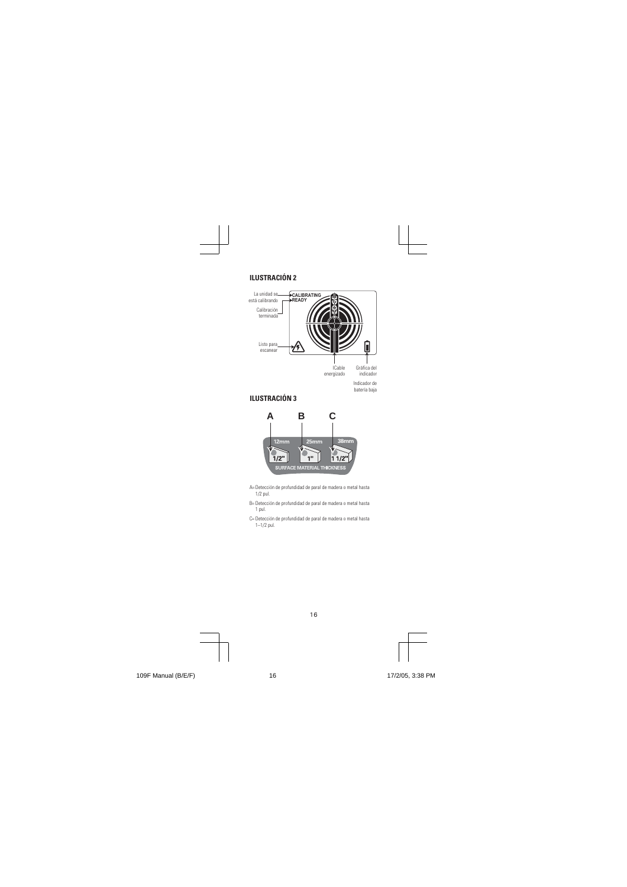

16

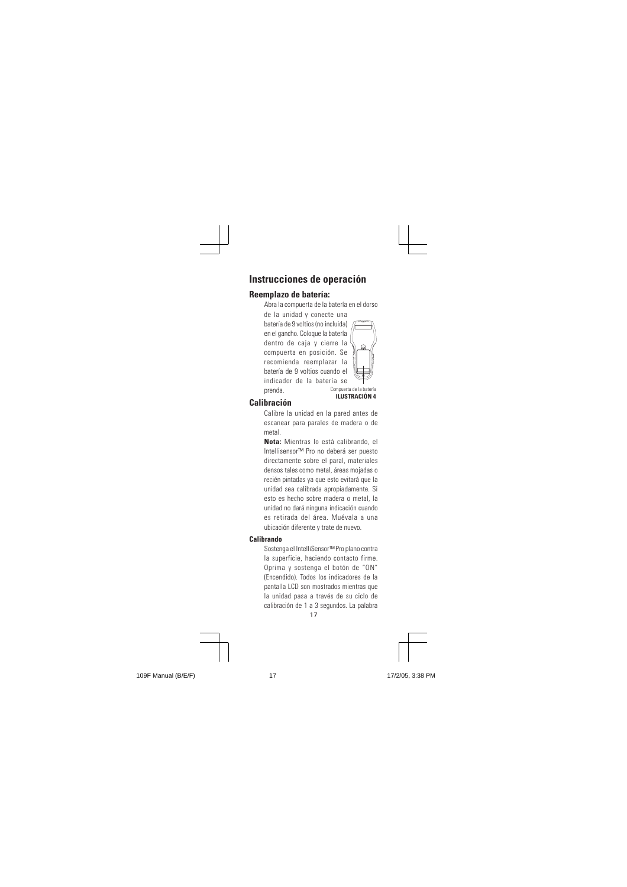# **Instrucciones de operación**

#### **Reemplazo de batería:**

Abra la compuerta de la batería en el dorso

de la unidad y conecte una batería de 9 voltios (no incluida) en el gancho. Coloque la batería dentro de caja y cierre la compuerta en posición. Se recomienda reemplazar la batería de 9 voltios cuando el indicador de la batería se prenda.



#### **Calibración**

Calibre la unidad en la pared antes de escanear para parales de madera o de metal.

**Nota:** Mientras lo está calibrando, el Intellisensor™ Pro no deberá ser puesto directamente sobre el paral, materiales densos tales como metal, áreas mojadas o recién pintadas ya que esto evitará que la unidad sea calibrada apropiadamente. Si esto es hecho sobre madera o metal, la unidad no dará ninguna indicación cuando es retirada del área. Muévala a una ubicación diferente y trate de nuevo.

#### **Calibrando**

17 Sostenga el IntelliSensor™ Pro plano contra la superficie, haciendo contacto firme. Oprima y sostenga el botón de "ON" (Encendido). Todos los indicadores de la pantalla LCD son mostrados mientras que la unidad pasa a través de su ciclo de calibración de 1 a 3 segundos. La palabra

109F Manual (B/E/F) 17 17 17 17 17/2/05, 3:38 PM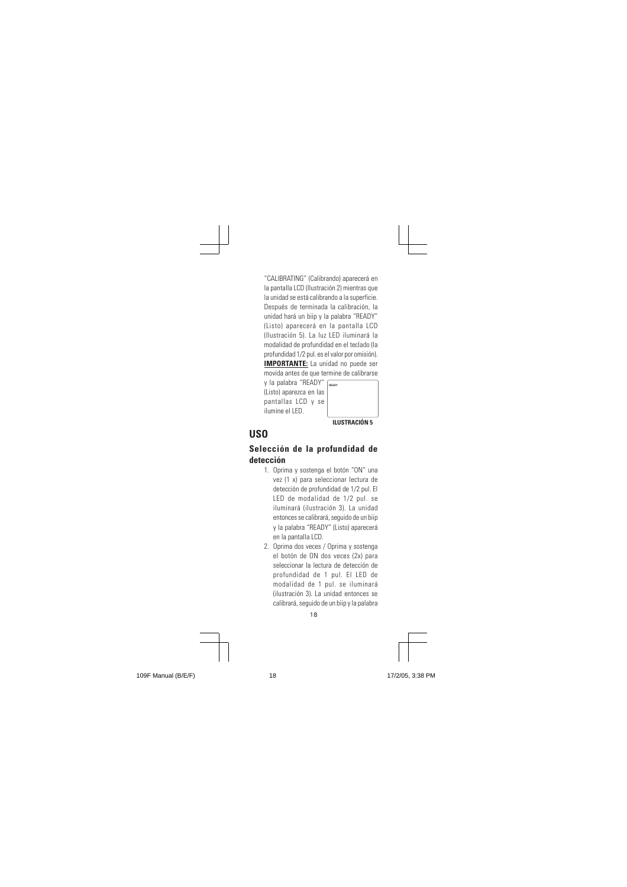"CALIBRATING" (Calibrando) aparecerá en la pantalla LCD (Ilustración 2) mientras que la unidad se está calibrando a la superficie. Después de terminada la calibración, la unidad hará un biip y la palabra "READY" (Listo) aparecerá en la pantalla LCD (Ilustración 5). La luz LED iluminará la modalidad de profundidad en el teclado (la profundidad 1/2 pul. es el valor por omisión). **IMPORTANTE:** La unidad no puede ser movida antes de que termine de calibrarse y la palabra "READY"

(Listo) aparezca en las pantallas LCD y se ilumine el LED. **ILUSTRACIÓN 5 READY**

# **USO**

#### **Selección de la profundidad de detección**

- 1. Oprima y sostenga el botón "ON" una vez (1 x) para seleccionar lectura de detección de profundidad de 1/2 pul. El LED de modalidad de 1/2 pul. se iluminará (ilustración 3). La unidad entonces se calibrará, seguido de un biip y la palabra "READY" (Listo) aparecerá en la pantalla LCD.
- 18 2. Oprima dos veces / Oprima y sostenga el botón de ON dos veces (2x) para seleccionar la lectura de detección de profundidad de 1 pul. El LED de modalidad de 1 pul. se iluminará (ilustración 3). La unidad entonces se calibrará, seguido de un biip y la palabra



109F Manual (B/E/F) 18 18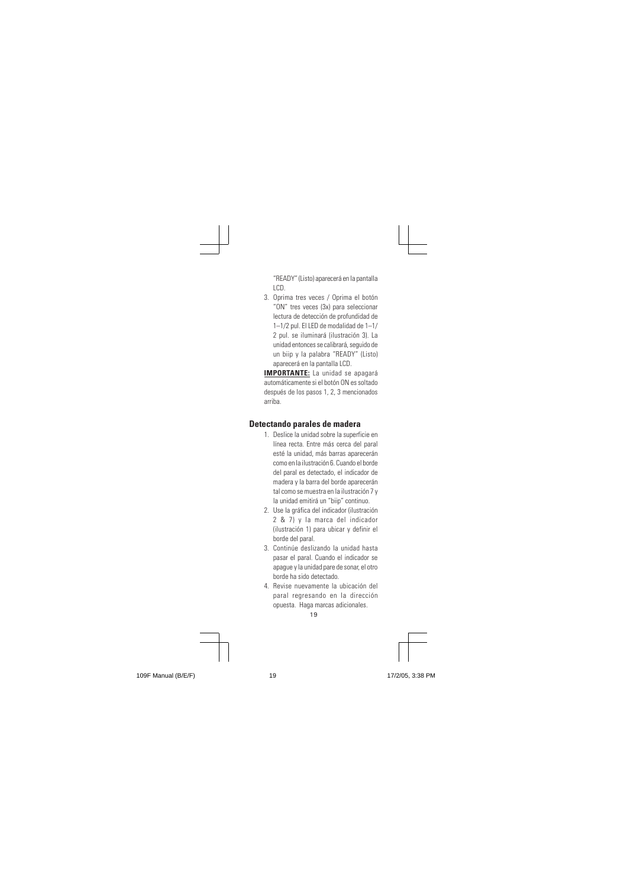"READY" (Listo) aparecerá en la pantalla LCD.

3. Oprima tres veces / Oprima el botón "ON" tres veces (3x) para seleccionar lectura de detección de profundidad de 1–1/2 pul. El LED de modalidad de 1–1/ 2 pul. se iluminará (ilustración 3). La unidad entonces se calibrará, seguido de un biip y la palabra "READY" (Listo) aparecerá en la pantalla LCD.

**IMPORTANTE:** La unidad se apagará automáticamente si el botón ON es soltado después de los pasos 1, 2, 3 mencionados arriba.

# **Detectando parales de madera**

- 1. Deslice la unidad sobre la superficie en línea recta. Entre más cerca del paral esté la unidad, más barras aparecerán como en la ilustración 6. Cuando el borde del paral es detectado, el indicador de madera y la barra del borde aparecerán tal como se muestra en la ilustración 7 y la unidad emitirá un "biip" continuo.
- 2. Use la gráfica del indicador (ilustración 2 & 7) y la marca del indicador (ilustración 1) para ubicar y definir el borde del paral.
- 3. Continúe deslizando la unidad hasta pasar el paral. Cuando el indicador se apague y la unidad pare de sonar, el otro borde ha sido detectado.
- 。<br>19 4. Revise nuevamente la ubicación del paral regresando en la dirección opuesta. Haga marcas adicionales.

109F Manual (B/E/F) 19 19 19 17/2/05, 3:38 PM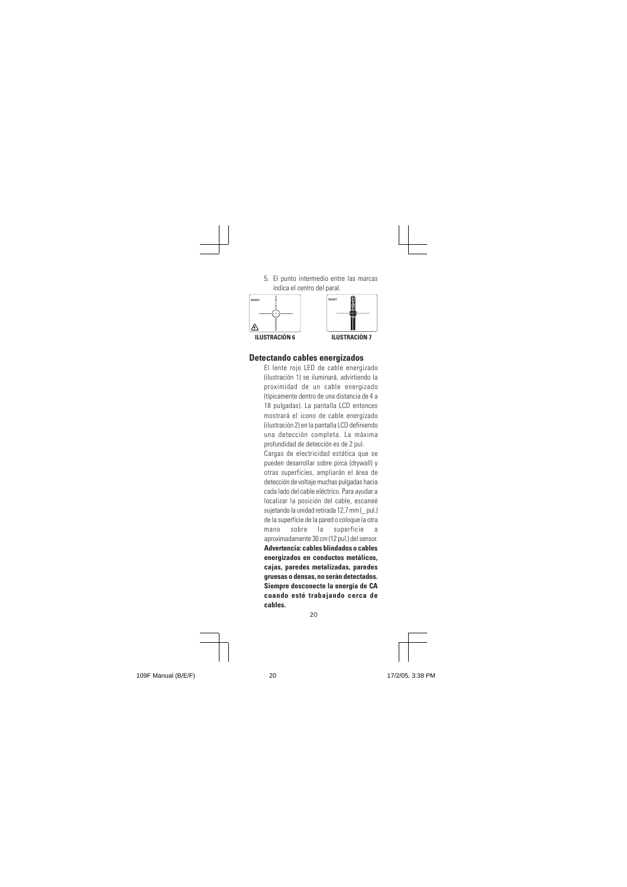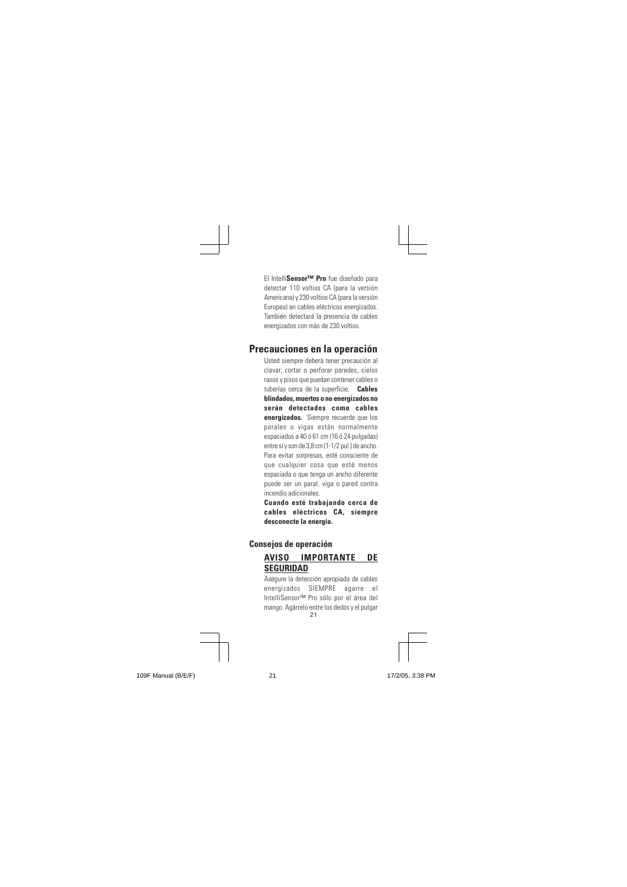El Intelli**Sensor™ Pro** fue diseñado para detectar 110 voltios CA (para la versión Americana) y 230 voltios CA (para la versión Europea) en cables eléctricos energizados. También detectará la presencia de cables energizados con más de 230 voltios.

#### **Precauciones en la operación**

Usted siempre deberá tener precaución al clavar, cortar o perforar paredes, cielos rasos y pisos que puedan contener cables o tuberías cerca de la superficie. **Cables blindados, muertos o no energizados no serán detectados como cables energizados.** Siempre recuerde que los parales o vigas están normalmente espaciados a 40 ó 61 cm (16 ó 24 pulgadas) entre sí y son de 3,8 cm (1-1/2 pul.) de ancho. Para evitar sorpresas, esté consciente de que cualquier cosa que esté menos espaciada o que tenga un ancho diferente puede ser un paral, viga o pared contra incendio adicionales.

**Cuando esté trabajando cerca de cables eléctricos CA, siempre desconecte la energía.**

# **Consejos de operación AVISO IMPORTANTE DE SEGURIDAD**

21 mango. Agárrelo entre los dedos y el pulgar Asegure la detección apropiada de cables energizados SIEMPRE agarre el IntelliSensor™ Pro sólo por el área del



109F Manual (B/E/F) 21 21 21 17/2/05, 3:38 PM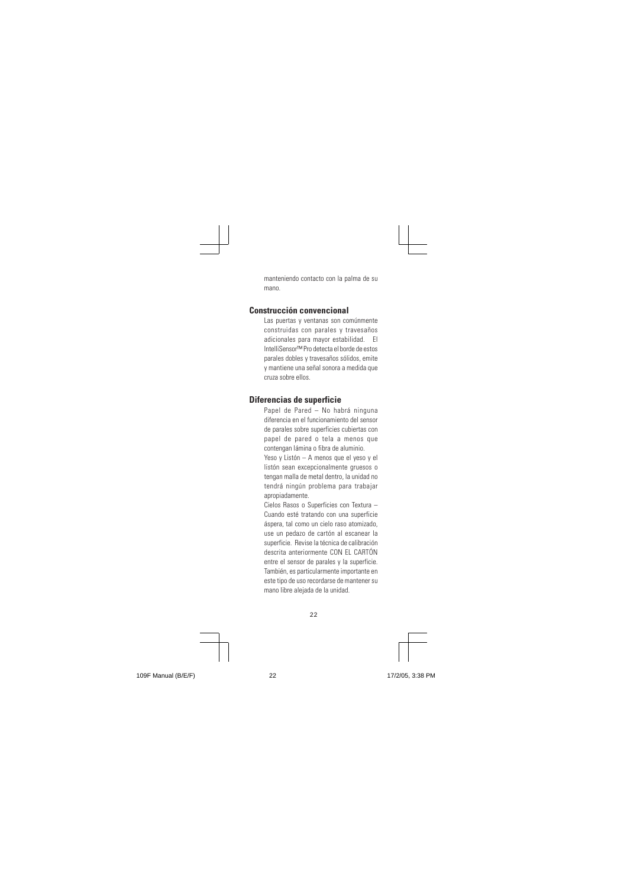manteniendo contacto con la palma de su mano.

#### **Construcción convencional**

Las puertas y ventanas son comúnmente construidas con parales y travesaños adicionales para mayor estabilidad. El IntelliSensor™ Pro detecta el borde de estos parales dobles y travesaños sólidos, emite y mantiene una señal sonora a medida que cruza sobre ellos.

#### **Diferencias de superficie**

Papel de Pared – No habrá ninguna diferencia en el funcionamiento del sensor de parales sobre superficies cubiertas con papel de pared o tela a menos que contengan lámina o fibra de aluminio.

Yeso y Listón – A menos que el yeso y el listón sean excepcionalmente gruesos o tengan malla de metal dentro, la unidad no tendrá ningún problema para trabajar apropiadamente.

Cielos Rasos o Superficies con Textura – Cuando esté tratando con una superficie áspera, tal como un cielo raso atomizado, use un pedazo de cartón al escanear la superficie. Revise la técnica de calibración descrita anteriormente CON EL CARTÓN entre el sensor de parales y la superficie. También, es particularmente importante en este tipo de uso recordarse de mantener su mano libre alejada de la unidad.

22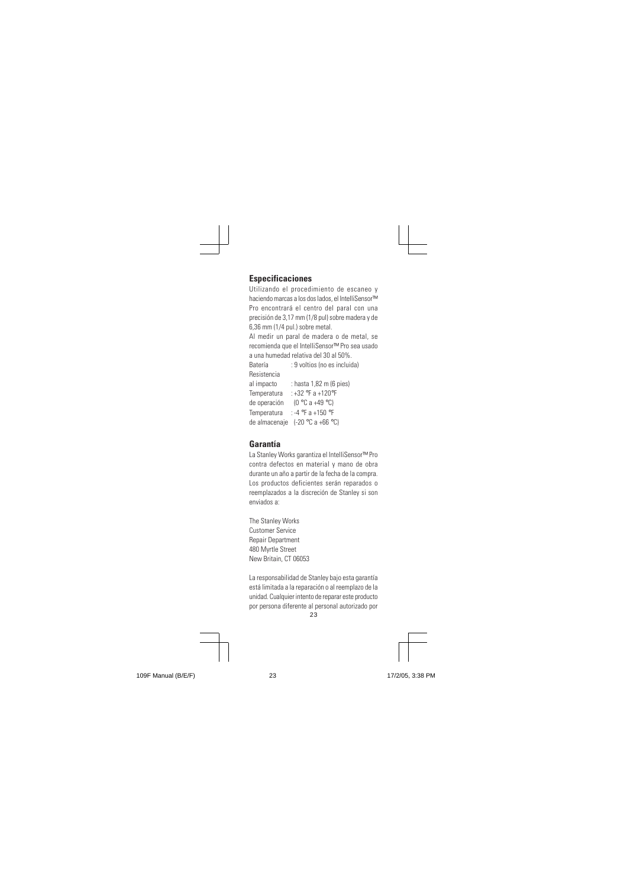#### **Especificaciones**

Utilizando el procedimiento de escaneo y haciendo marcas a los dos lados, el IntelliSensor™ Pro encontrará el centro del paral con una precisión de 3,17 mm (1/8 pul) sobre madera y de 6,36 mm (1/4 pul.) sobre metal.

Al medir un paral de madera o de metal, se recomienda que el IntelliSensor™ Pro sea usado a una humedad relativa del 30 al 50%.

Batería : 9 voltios (no es incluida) Resistencia al impacto : hasta 1,82 m (6 pies)

Temperatura : +32 °F a +120°F de operación (0 °C a +49 °C) Temperatura : -4 °F a +150 °F de almacenaje (-20 °C a +66 °C)

#### **Garantía**

La Stanley Works garantiza el IntelliSensor™ Pro contra defectos en material y mano de obra durante un año a partir de la fecha de la compra. Los productos deficientes serán reparados o reemplazados a la discreción de Stanley si son enviados a:

The Stanley Works Customer Service Repair Department 480 Myrtle Street New Britain, CT 06053

 $23$ La responsabilidad de Stanley bajo esta garantía está limitada a la reparación o al reemplazo de la unidad. Cualquier intento de reparar este producto por persona diferente al personal autorizado por

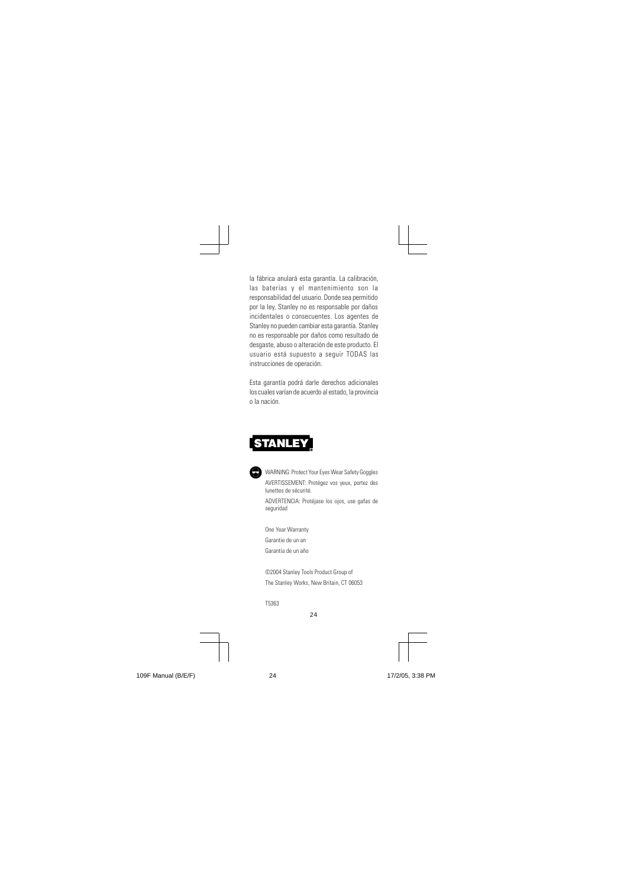la fábrica anulará esta garantía. La calibración, las baterías y el mantenimiento son la responsabilidad del usuario. Donde sea permitido por la ley, Stanley no es responsable por daños incidentales o consecuentes. Los agentes de Stanley no pueden cambiar esta garantía. Stanley no es responsable por daños como resultado de desgaste, abuso o alteración de este producto. El usuario está supuesto a seguir TODAS las instrucciones de operación.

Esta garantía podrá darle derechos adicionales los cuales varían de acuerdo al estado, la provincia o la nación.

# **STANLEY**



One Year Warranty Garantie de un an Garantía de un año

©2004 Stanley Tools Product Group of The Stanley Works, New Britain, CT 06053

24

T5363

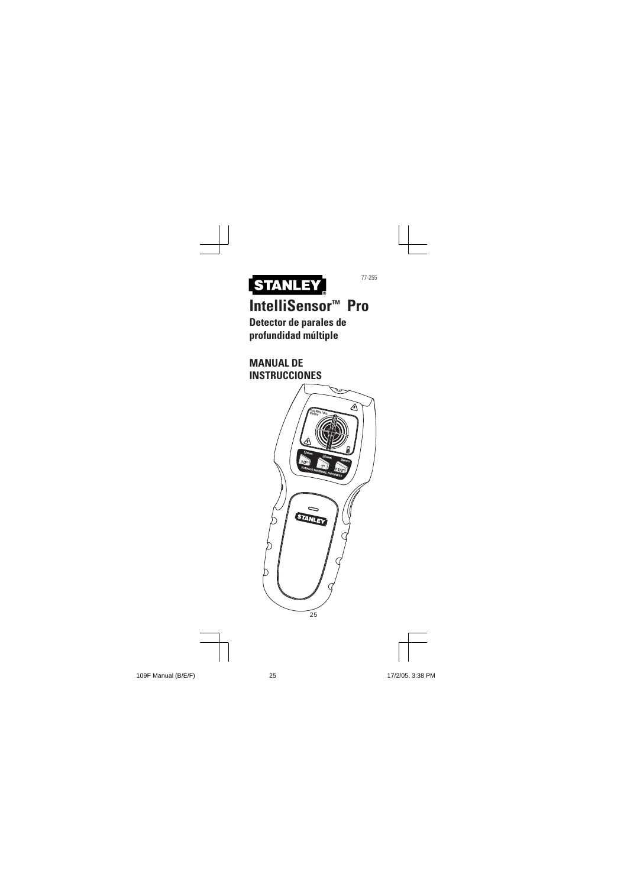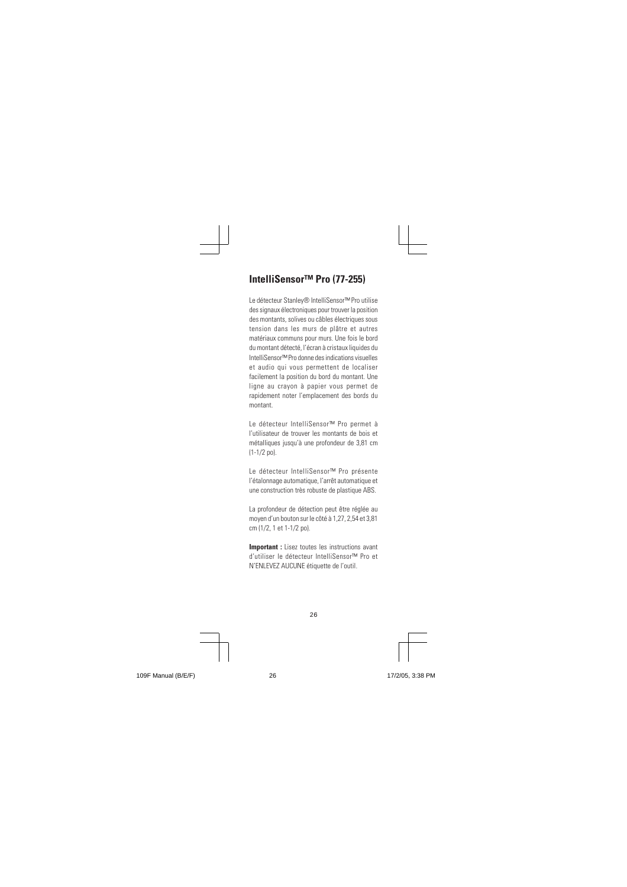# **IntelliSensor™ Pro (77-255)**

Le détecteur Stanley® IntelliSensor™ Pro utilise des signaux électroniques pour trouver la position des montants, solives ou câbles électriques sous tension dans les murs de plâtre et autres matériaux communs pour murs. Une fois le bord du montant détecté, l'écran à cristaux liquides du IntelliSensor™ Pro donne des indications visuelles et audio qui vous permettent de localiser facilement la position du bord du montant. Une ligne au crayon à papier vous permet de rapidement noter l'emplacement des bords du montant.

Le détecteur IntelliSensor™ Pro permet à l'utilisateur de trouver les montants de bois et métalliques jusqu'à une profondeur de 3,81 cm (1-1/2 po).

Le détecteur IntelliSensor™ Pro présente l'étalonnage automatique, l'arrêt automatique et une construction très robuste de plastique ABS.

La profondeur de détection peut être réglée au moyen d'un bouton sur le côté à 1,27, 2,54 et 3,81 cm (1/2, 1 et 1-1/2 po).

**Important :** Lisez toutes les instructions avant d'utiliser le détecteur IntelliSensor™ Pro et N'ENLEVEZ AUCUNE étiquette de l'outil.

26

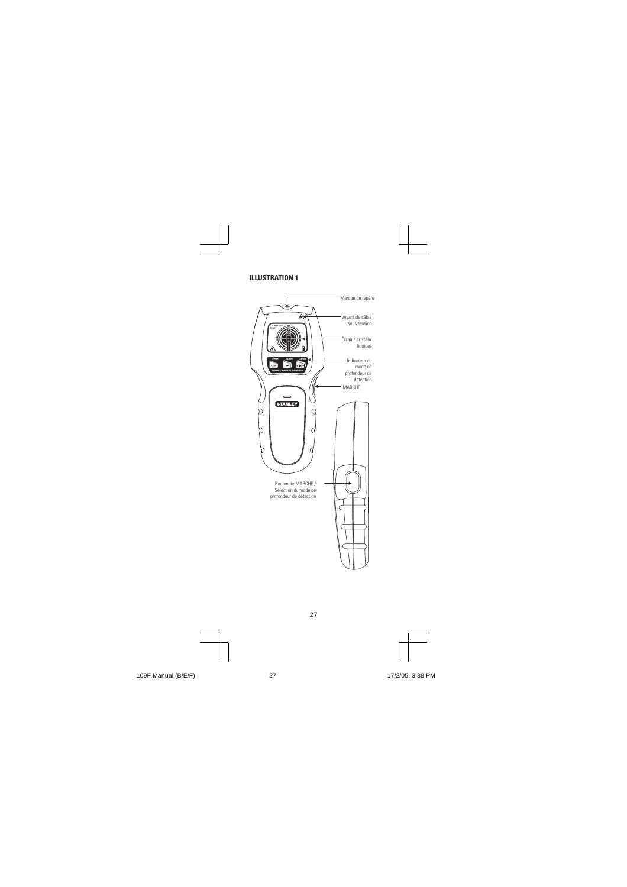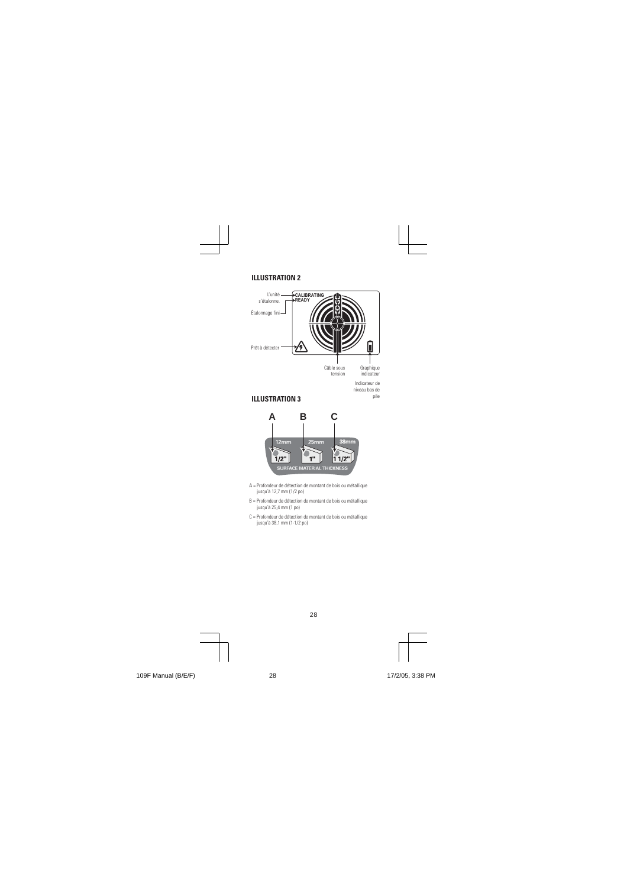



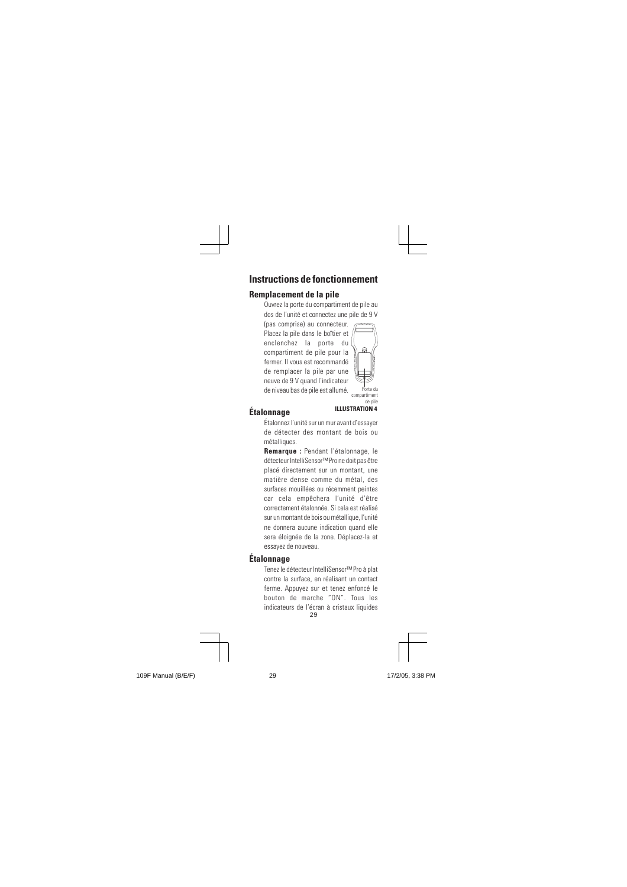#### **Instructions de fonctionnement**

# **Remplacement de la pile**

Ouvrez la porte du compartiment de pile au dos de l'unité et connectez une pile de 9 V (pas comprise) au connecteur.

Placez la pile dans le boîtier et enclenchez la porte du compartiment de pile pour la fermer. Il vous est recommandé de remplacer la pile par une neuve de 9 V quand l'indicateur de niveau bas de pile est allumé.



# **Étalonnage**

# <sup>de pile</sup><br>ILLUSTRATION 4

Porte du remon<br>Ida nil

Étalonnez l'unité sur un mur avant d'essayer de détecter des montant de bois ou métalliques.

**Remarque :** Pendant l'étalonnage, le détecteur InteIliSensor™ Pro ne doit pas être placé directement sur un montant, une matière dense comme du métal, des surfaces mouillées ou récemment peintes car cela empêchera l'unité d'être correctement étalonnée. Si cela est réalisé sur un montant de bois ou métallique, l'unité ne donnera aucune indication quand elle sera éloignée de la zone. Déplacez-la et essayez de nouveau.

# **Étalonnage**

29 indicateurs de l'écran à cristaux liquides Tenez le détecteur InteIliSensor™ Pro à plat contre la surface, en réalisant un contact ferme. Appuyez sur et tenez enfoncé le bouton de marche "ON". Tous les

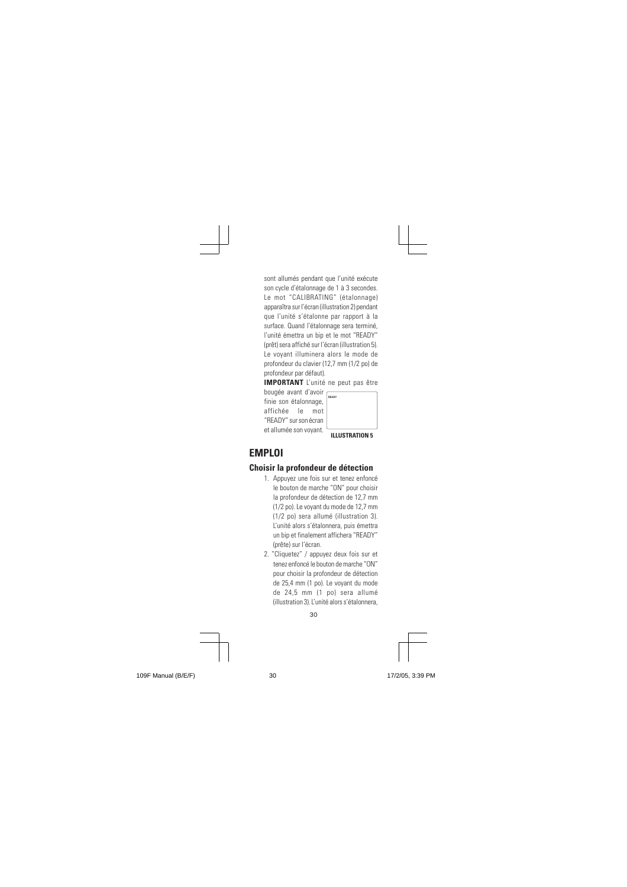sont allumés pendant que l'unité exécute son cycle d'étalonnage de 1 à 3 secondes. Le mot "CALIBRATING" (étalonnage) apparaîtra sur l'écran (illustration 2) pendant que l'unité s'étalonne par rapport à la surface. Quand l'étalonnage sera terminé, l'unité émettra un bip et le mot "READY" (prêt) sera affiché sur l'écran (illustration 5). Le voyant illuminera alors le mode de profondeur du clavier (12,7 mm (1/2 po) de profondeur par défaut).

**IMPORTANT** L'unité ne peut pas être bougée avant d'avoir

finie son étalonnage, affichée le mot "READY" sur son écran et allumée son voyant. **ILLUSTRATION 5 READY**

# **EMPLOI**

# **Choisir la profondeur de détection**

- 1. Appuyez une fois sur et tenez enfoncé le bouton de marche "ON" pour choisir la profondeur de détection de 12,7 mm (1/2 po). Le voyant du mode de 12,7 mm (1/2 po) sera allumé (illustration 3). L'unité alors s'étalonnera, puis émettra un bip et finalement affichera "READY" (prête) sur l'écran.
- 2. "Cliquetez" / appuyez deux fois sur et tenez enfoncé le bouton de marche "ON" pour choisir la profondeur de détection de 25,4 mm (1 po). Le voyant du mode de 24,5 mm (1 po) sera allumé (illustration 3). L'unité alors s'étalonnera,

30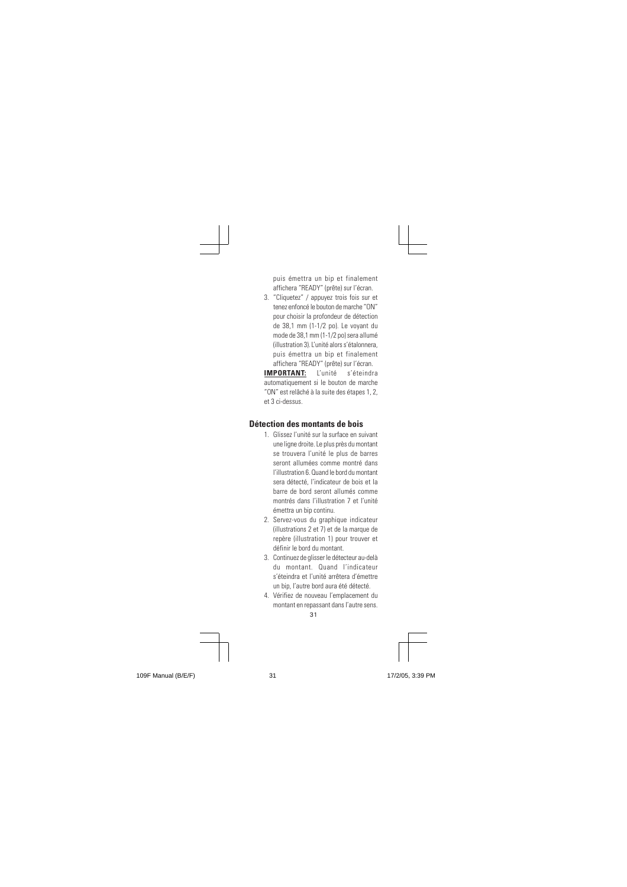puis émettra un bip et finalement affichera "READY" (prête) sur l'écran.

3. "Cliquetez" / appuyez trois fois sur et tenez enfoncé le bouton de marche "ON" pour choisir la profondeur de détection de 38,1 mm (1-1/2 po). Le voyant du mode de 38,1 mm (1-1/2 po) sera allumé (illustration 3). L'unité alors s'étalonnera, puis émettra un bip et finalement affichera "READY" (prête) sur l'écran. **IMPORTANT:** L'unité s'éteindra automatiquement si le bouton de marche

"ON" est relâché à la suite des étapes 1, 2, et 3 ci-dessus.

#### **Détection des montants de bois**

- 1. Glissez l'unité sur la surface en suivant une ligne droite. Le plus près du montant se trouvera l'unité le plus de barres seront allumées comme montré dans l'illustration 6. Quand le bord du montant sera détecté, l'indicateur de bois et la barre de bord seront allumés comme montrés dans l'illustration 7 et l'unité émettra un bip continu.
- 2. Servez-vous du graphique indicateur (illustrations 2 et 7) et de la marque de repère (illustration 1) pour trouver et définir le bord du montant.
- 3. Continuez de glisser le détecteur au-delà du montant. Quand l'indicateur s'éteindra et l'unité arrêtera d'émettre un bip, l'autre bord aura été détecté.
- $\frac{1}{31}$ 4. Vérifiez de nouveau l'emplacement du montant en repassant dans l'autre sens.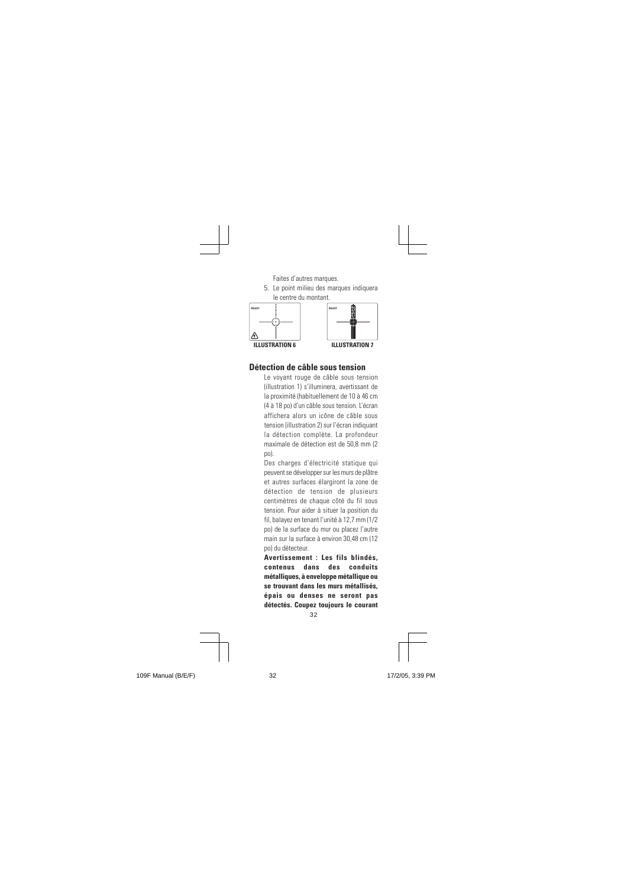

#### **Détection de câble sous tension**

Le voyant rouge de câble sous tension (illustration 1) s'illuminera, avertissant de la proximité (habituellement de 10 à 46 cm (4 à 18 po) d'un câble sous tension. L'écran affichera alors un icône de câble sous tension (illustration 2) sur l'écran indiquant la détection complète. La profondeur maximale de détection est de 50,8 mm (2 po).

Des charges d'électricité statique qui peuvent se développer sur les murs de plâtre et autres surfaces élargiront la zone de détection de tension de plusieurs centimètres de chaque côté du fil sous tension. Pour aider à situer la position du fil, balayez en tenant l'unité à 12,7 mm (1/2 po) de la surface du mur ou placez l'autre main sur la surface à environ 30,48 cm (12 po) du détecteur.

່<br>32 **Avertissement : Les fils blindés, contenus dans des conduits métalliques, à enveloppe métallique ou se trouvant dans les murs métallisés, épais ou denses ne seront pas détectés. Coupez toujours le courant**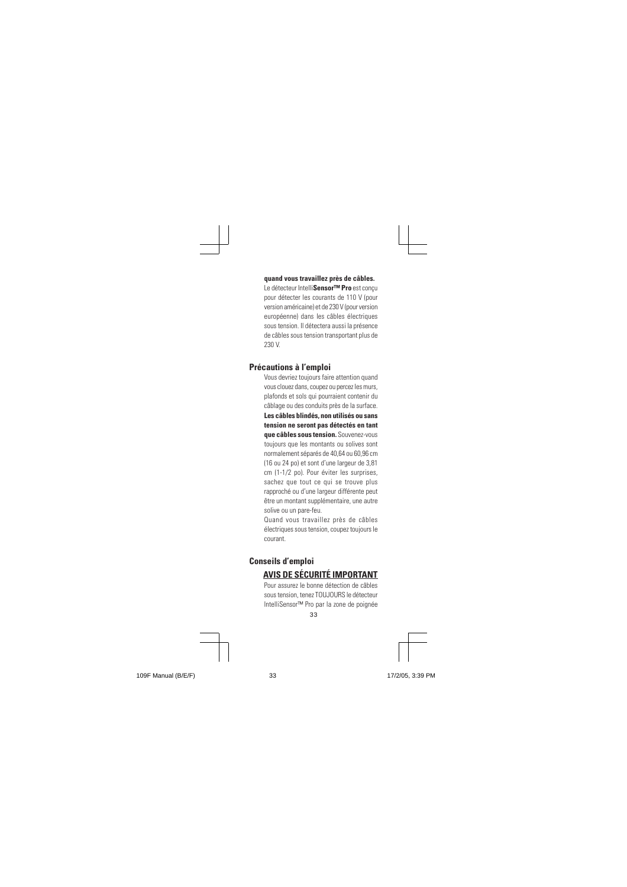#### **quand vous travaillez près de câbles.**

Le détecteur Intelli**Sensor™ Pro** est conçu pour détecter les courants de 110 V (pour version américaine) et de 230 V (pour version européenne) dans les câbles électriques sous tension. Il détectera aussi la présence de câbles sous tension transportant plus de 230 V.

#### **Précautions à l'emploi**

Vous devriez toujours faire attention quand vous clouez dans, coupez ou percez les murs, plafonds et sols qui pourraient contenir du câblage ou des conduits près de la surface. **Les câbles blindés, non utilisés ou sans tension ne seront pas détectés en tant que câbles sous tension.** Souvenez-vous toujours que les montants ou solives sont normalement séparés de 40,64 ou 60,96 cm (16 ou 24 po) et sont d'une largeur de 3,81 cm (1-1/2 po). Pour éviter les surprises, sachez que tout ce qui se trouve plus rapproché ou d'une largeur différente peut être un montant supplémentaire, une autre solive ou un pare-feu.

Quand vous travaillez près de câbles électriques sous tension, coupez toujours le courant.

# **Conseils d'emploi**

# **AVIS DE SÉCURITÉ IMPORTANT**

33 Pour assurez le bonne détection de câbles sous tension, tenez TOUJOURS le détecteur IntelliSensor™ Pro par la zone de poignée

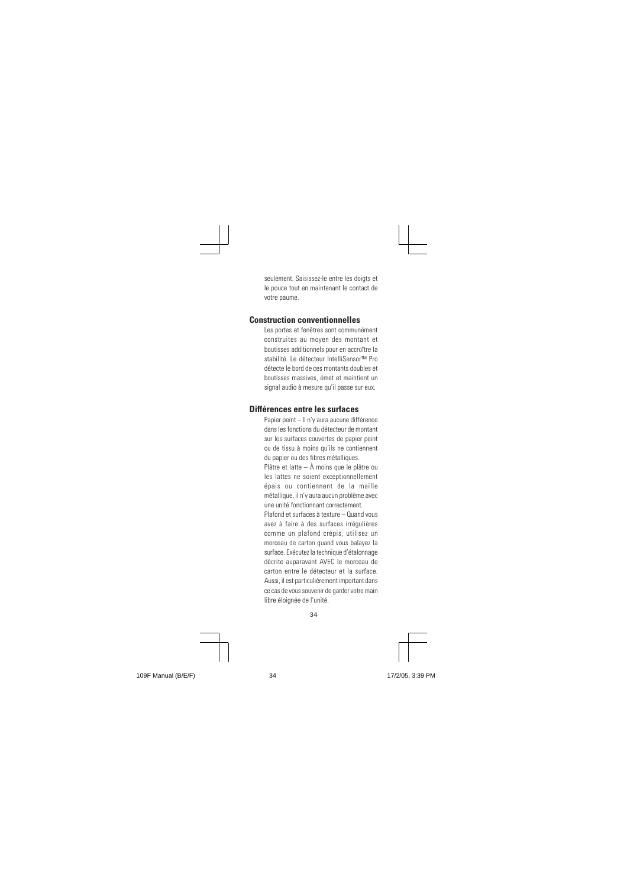seulement. Saisissez-le entre les doigts et le pouce tout en maintenant le contact de votre paume.

# **Construction conventionnelles**

Les portes et fenêtres sont communément construites au moyen des montant et boutisses additionnels pour en accroître la stabilité. Le détecteur IntelliSensor™ Pro détecte le bord de ces montants doubles et boutisses massives, émet et maintient un signal audio à mesure qu'il passe sur eux.

# **Différences entre les surfaces**

Papier peint – Il n'y aura aucune différence dans les fonctions du détecteur de montant sur les surfaces couvertes de papier peint ou de tissu à moins qu'ils ne contiennent du papier ou des fibres métalliques.

Plâtre et latte – À moins que le plâtre ou les lattes ne soient exceptionnellement épais ou contiennent de la maille métallique, il n'y aura aucun problème avec une unité fonctionnant correctement.

Plafond et surfaces à texture – Quand vous avez à faire à des surfaces irrégulières comme un plafond crépis, utilisez un morceau de carton quand vous balayez la surface. Exécutez la technique d'étalonnage décrite auparavant AVEC le morceau de carton entre le détecteur et la surface. Aussi, il est particulièrement important dans ce cas de vous souvenir de garder votre main libre éloignée de l'unité.

34

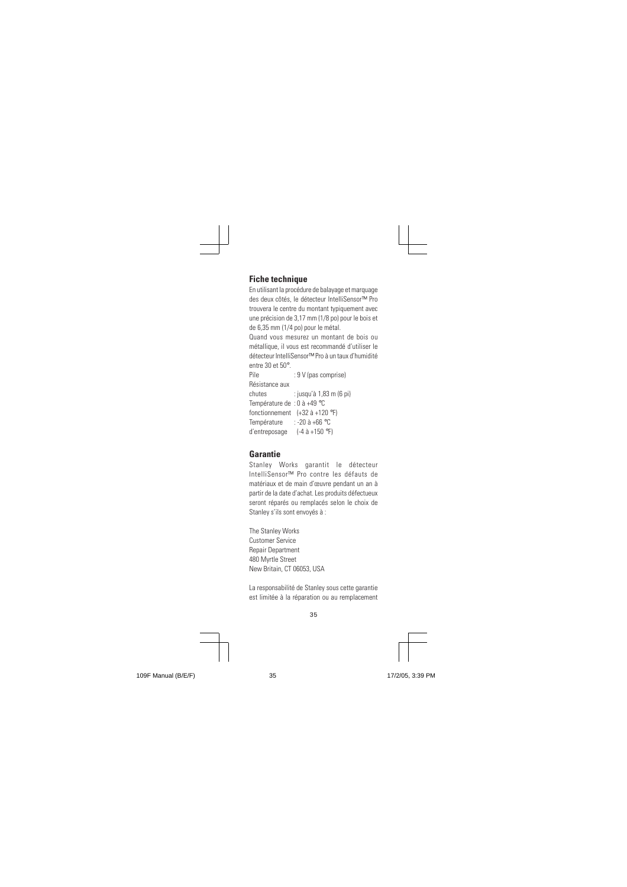# **Fiche technique**

En utilisant la procédure de balayage et marquage des deux côtés, le détecteur IntelliSensor™ Pro trouvera le centre du montant typiquement avec une précision de 3,17 mm (1/8 po) pour le bois et de 6,35 mm (1/4 po) pour le métal.

Quand vous mesurez un montant de bois ou métallique, il vous est recommandé d'utiliser le détecteur IntelliSensor™ Pro à un taux d'humidité entre 30 et 50°.

: 9 V (pas comprise) Résistance aux chutes : jusqu'à 1,83 m (6 pi) Température de : 0 à +49 °C fonctionnement (+32 à +120 °F) Température : -20 à +66 °C d'entreposage (-4 à +150 °F)

#### **Garantie**

Stanley Works garantit le détecteur IntelliSensor™ Pro contre les défauts de matériaux et de main d'œuvre pendant un an à partir de la date d'achat. Les produits défectueux seront réparés ou remplacés selon le choix de Stanley s'ils sont envoyés à :

The Stanley Works Customer Service Repair Department 480 Myrtle Street New Britain, CT 06053, USA

La responsabilité de Stanley sous cette garantie est limitée à la réparation ou au remplacement

35